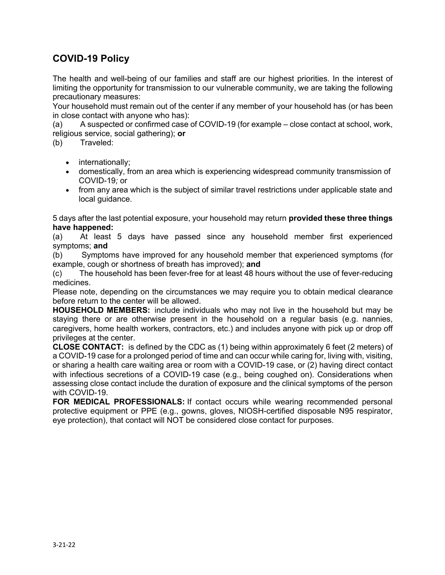## **COVID-19 Policy**

The health and well-being of our families and staff are our highest priorities. In the interest of limiting the opportunity for transmission to our vulnerable community, we are taking the following precautionary measures:

Your household must remain out of the center if any member of your household has (or has been in close contact with anyone who has):

(a) A suspected or confirmed case of COVID-19 (for example – close contact at school, work, religious service, social gathering); **or**

(b) Traveled:

- internationally;
- domestically, from an area which is experiencing widespread community transmission of COVID-19*;* or
- from any area which is the subject of similar travel restrictions under applicable state and local guidance.

5 days after the last potential exposure, your household may return **provided these three things have happened:**

(a) At least 5 days have passed since any household member first experienced symptoms; **and**

(b) Symptoms have improved for any household member that experienced symptoms (for example, cough or shortness of breath has improved); **and**

(c) The household has been fever-free for at least 48 hours without the use of fever-reducing medicines.

Please note, depending on the circumstances we may require you to obtain medical clearance before return to the center will be allowed.

**HOUSEHOLD MEMBERS:** include individuals who may not live in the household but may be staying there or are otherwise present in the household on a regular basis (e.g. nannies, caregivers, home health workers, contractors, etc.) and includes anyone with pick up or drop off privileges at the center.

**CLOSE CONTACT:** is defined by the CDC as (1) being within approximately 6 feet (2 meters) of a COVID-19 case for a prolonged period of time and can occur while caring for, living with, visiting, or sharing a health care waiting area or room with a COVID-19 case, or (2) having direct contact with infectious secretions of a COVID-19 case (e.g., being coughed on). Considerations when assessing close contact include the duration of exposure and the clinical symptoms of the person with COVID-19.

**FOR MEDICAL PROFESSIONALS:** If contact occurs while wearing recommended personal protective equipment or PPE (e.g., gowns, gloves, NIOSH-certified disposable N95 respirator, eye protection), that contact will NOT be considered close contact for purposes.